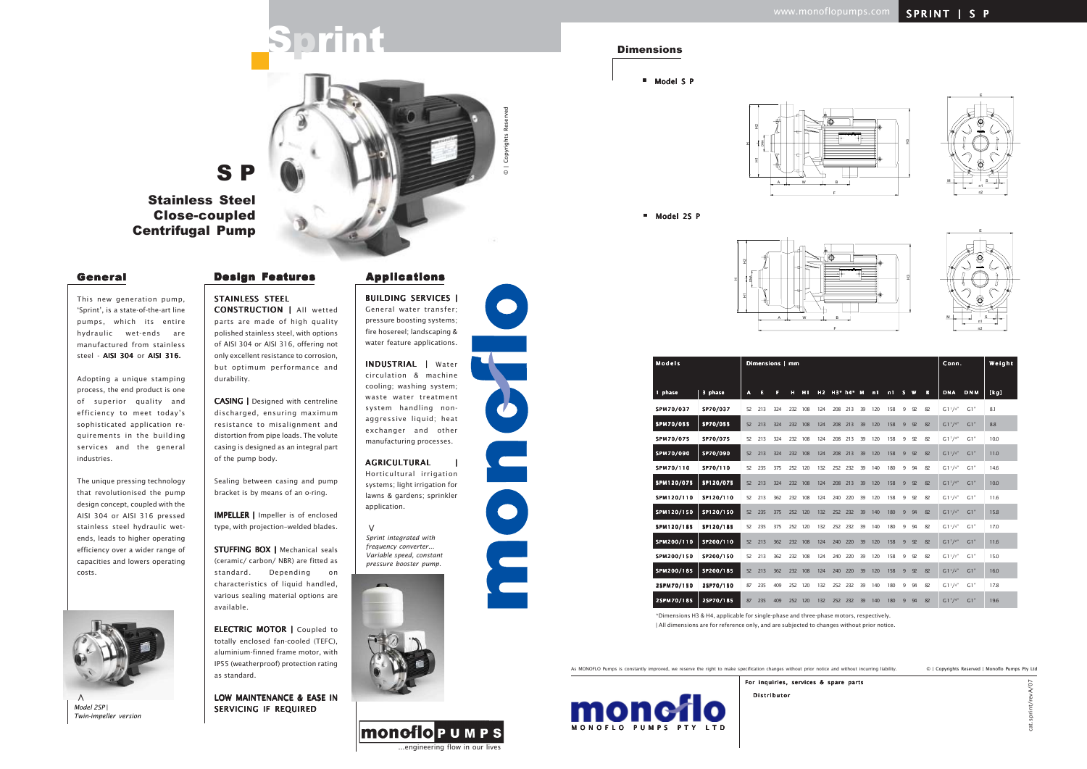...engineering flow in our lives

**MONOTOPUMPS** 



As MONOFLO Pumps is constantly improved, we reserve the right to make specification changes without prior notice and without incurring liability.



■ Model S P



| <b>Models</b>    |           |              | Dimensions   mm |     |     |         |                |     |           |    |     |     |                | Conn. |    | Weight      |            |      |
|------------------|-----------|--------------|-----------------|-----|-----|---------|----------------|-----|-----------|----|-----|-----|----------------|-------|----|-------------|------------|------|
| 1 phase          | 3 phase   | $\mathbf{A}$ | E               | F   | н   | H1      | H <sub>2</sub> |     | H3* h4* M |    | n1  | n1  | s              | W     | в  | <b>DNA</b>  | <b>DNM</b> | [kg] |
| SPM70/037        | SP70/037  | 52           | 213             | 324 | 232 | 108     | 124            | 208 | 213       | 39 | 120 | 158 | 9              | 92    | 82 | $G1^{1}/4"$ | G1"        | 8.1  |
| <b>SPM70/055</b> | SP70/055  | 52           | 213             | 324 | 232 | 108     | 124            | 208 | 213       | 39 | 120 | 158 | $\overline{9}$ | 92    | 82 | $G1^{1}/4"$ | G1"        | 8.8  |
| SPM70/075        | SP70/075  | 52           | 213             | 324 | 232 | 108     | 124            | 208 | 213       | 39 | 120 | 158 | 9              | 92    | 82 | $G1^{1}/4"$ | G1"        | 10.0 |
| SPM70/090        | SP70/090  | 52           | 213             | 324 | 232 | 108     | 124            | 208 | 213       | 39 | 120 | 158 | $\overline{9}$ | 92    | 82 | $G1^{1}/4"$ | G1"        | 11.0 |
| SPM70/110        | SP70/110  | 52           | 235             | 375 | 252 | 120     | 132            | 252 | 232       | 39 | 140 | 180 | 9              | 94    | 82 | $G1^{1}/4"$ | G1"        | 14.6 |
| SPM120/075       | SP120/075 | 52           | 213             | 324 | 232 | 108     | 124            | 208 | 213       | 39 | 120 | 158 | 9              | 92    | 82 | $G1^{1}/4"$ | G1"        | 10.0 |
| SPM120/110       | SP120/110 | 52           | 213             | 362 |     | 232 108 | 124            | 240 | 220       | 39 | 120 | 158 | 9              | 92    | 82 | $G1^{1}/4"$ | G1"        | 11.6 |
| SPM120/150       | SP120/150 | 52           | 235             | 375 | 252 | 120     | 132            | 252 | 232       | 39 | 140 | 180 | 9              | 94    | 82 | $G1^{1}/4"$ | G1"        | 15.8 |
| SPM120/185       | SP120/185 | 52           | 235             | 375 |     | 252 120 | 132            | 252 | 232       | 39 | 140 | 180 | 9              | 94    | 82 | $G1^{1}/4"$ | G1"        | 17.0 |
| SPM200/110       | SP200/110 | 52           | 213             | 362 | 232 | 108     | 124            | 240 | 220       | 39 | 120 | 158 | 9              | 92    | 82 | $G1^{1}/2"$ | G1"        | 11.6 |
| SPM200/150       | SP200/150 | 52           | 213             | 362 |     | 232 108 | 124            | 240 | 220       | 39 | 120 | 158 | 9              | 92    | 82 | $G1^{1}/2"$ | G1"        | 15.0 |
| SPM200/185       | SP200/185 | 52           | 213             | 362 | 232 | 108     | 124            | 240 | 220       | 39 | 120 | 158 | 9              | 92    | 82 | $G1^{1}/2"$ | G1"        | 16.0 |
| 2SPM70/150       | 2SP70/150 | 87           | 235             | 409 |     | 252 120 | 132            | 252 | 232       | 39 | 140 | 180 | 9              | 94    | 82 | $G1^{1}/4"$ | G1"        | 17.8 |
| 25PM70/185       | 2SP70/185 | 87           | 235             | 409 | 252 | 120     | 132            |     | 252 232   | 39 | 140 | 180 | 9              | 94    | 82 | $G1^{1}/4"$ | G1"        | 19.6 |

Distributor

This new generation pump, 'Sprint', is a state-of-the-art line pumps, which its entire hydraulic wet-ends are manufactured from stainless steel - AISI 304 or AISI 316.

For inquiries, services & spare parts

© | Copyrights Reserved | Monoflo Pumps Pty Ltd



#### Dimensions

CONSTRUCTION | All wetted parts are made of high quality polished stainless steel, with options of AISI 304 or AISI 316, offering not only excellent resistance to corrosion, but optimum performance and durability.

Adopting a unique stamping process, the end product is one of superior quality and efficiency to meet today's sophisticated application requirements in the building services and the general industries.

The unique pressing technology that revolutionised the pump design concept, coupled with the AISI 304 or AISI 316 pressed stainless steel hydraulic wetends, leads to higher operating efficiency over a wider range of capacities and lowers operating costs.

STUFFING BOX | Mechanical seals (ceramic/ carbon/ NBR) are fitted as standard. Depending on characteristics of liquid handled, various sealing material options are available.

ELECTRIC MOTOR | Coupled to totally enclosed fan-cooled (TEFC), aluminium-finned frame motor, with IP55 (weatherproof) protection rating as standard.

INDUSTRIAL | Water circulation & machine cooling; washing system; waste water treatment system handling nonaggressive liquid; heat exchanger and other manufacturing processes.

AGRICULTURAL | Horticultural irrigation systems; light irrigation for lawns & gardens; sprinkler application.

CASING | CASING | Designed with centreline discharged, ensuring maximum resistance to misalignment and distortion from pipe loads. The volute casing is designed as an integral part of the pump body.

Sealing between casing and pump bracket is by means of an o-ring.

IMPELLER | Impeller is of enclosed type, with projection–welded blades.

LOW MAINTENANCE & EASE IN SERVICING IF REQUIRED

BUILDING SERVICES | | General water transfer; pressure boosting systems; fire hosereel; landscaping & water feature applications.

# S P Stainless Steel

# Close-coupled Centrifugal Pump

#### General Design Features Applications



Sprint

| <b>Models</b>    |           |    | Dimensions   mm |     |     |     |     |     |           |    |     |     |                | Conn. |    | Weight              |            |      |
|------------------|-----------|----|-----------------|-----|-----|-----|-----|-----|-----------|----|-----|-----|----------------|-------|----|---------------------|------------|------|
|                  |           |    |                 |     |     |     |     |     |           |    |     |     |                |       |    |                     |            |      |
| 1 phase          | 3 phase   | A  | Е               | F   | H   | H1  | H2  |     | H3* h4* M |    | n1  | n1  | s              | W     | B  | <b>DNA</b>          | <b>DNM</b> | [kg] |
| SPM70/037        | SP70/037  | 52 | 213             | 324 | 232 | 108 | 124 | 208 | 213       | 39 | 120 | 158 | 9              | 92    | 82 | $G1^{1}/4"$         | G1"        | 8.1  |
| <b>SPM70/055</b> | SP70/055  | 52 | 213             | 324 | 232 | 108 | 124 | 208 | 213       | 39 | 120 | 158 | $\overline{9}$ | 92    | 82 | GI <sup>1</sup> /4" | G1"        | 8.8  |
| SPM70/075        | SP70/075  | 52 | 213             | 324 | 232 | 108 | 124 | 208 | 213       | 39 | 120 | 158 | 9              | 92    | 82 | $G1^{1}/4"$         | G1"        | 10.0 |
| SPM70/090        | SP70/090  | 52 | 213             | 324 | 232 | 108 | 124 | 208 | 213       | 39 | 120 | 158 | 9              | 92    | 82 | GI <sup>1</sup> /4" | G1"        | 11.0 |
| SPM70/110        | SP70/110  | 52 | 235             | 375 | 252 | 120 | 132 | 252 | 232       | 39 | 140 | 180 | 9              | 94    | 82 | $G1^{1}/4"$         | G1"        | 14.6 |
| SPM120/075       | SP120/075 | 52 | 213             | 324 | 232 | 108 | 124 | 208 | 213       | 39 | 120 | 158 | 9              | 92    | 82 | $G1^{1}/4"$         | G1"        | 10.0 |
| SPM120/110       | SP120/110 | 52 | 213             | 362 | 232 | 108 | 124 | 240 | 220       | 39 | 120 | 158 | 9              | 92    | 82 | $G1^{1}/4"$         | G1"        | 11.6 |
| SPM120/150       | SP120/150 | 52 | 235             | 375 | 252 | 120 | 132 | 252 | 232       | 39 | 140 | 180 | 9              | 94    | 82 | GI <sup>1</sup> /4" | G1"        | 15.8 |
| SPM120/185       | SP120/185 | 52 | 235             | 375 | 252 | 120 | 132 |     | 252 232   | 39 | 140 | 180 | 9              | 94    | 82 | $G1^{1}/4"$         | G1"        | 17.0 |
| SPM200/110       | SP200/110 | 52 | 213             | 362 | 232 | 108 | 124 | 240 | 220       | 39 | 120 | 158 | 9              | 92    | 82 | $G1^{1}/2"$         | G1"        | 11.6 |
| SPM200/150       | SP200/150 | 52 | 213             | 362 | 232 | 108 | 124 | 240 | 220       | 39 | 120 | 158 | 9              | 92    | 82 | $G1^{1}/2"$         | G1"        | 15.0 |
| SPM200/185       | SP200/185 | 52 | 213             | 362 | 232 | 108 | 124 | 240 | 220       | 39 | 120 | 158 | 9              | 92    | 82 | $G1^{1}/2"$         | G1"        | 16.0 |
| 2SPM70/150       | 2SP70/150 | 87 | 235             | 409 | 252 | 120 | 132 |     | 252 232   | 39 | 140 | 180 | 9              | 94    | 82 | $G1^{1}/4"$         | G1"        | 17.8 |
| 2SPM70/185       | 2SP70/185 | 87 | 235             | 409 | 252 | 120 | 132 | 252 | 232       | 39 | 140 | 180 | 9              | 94    | 82 | GI <sup>1</sup> /4" | G1"        | 19.6 |

\*Dimensions H3 & H4, applicable for single-phase and three-phase motors, respectively.

| All dimensions are for reference only, and are subjected to changes without prior notice.

*Sprint integrated with frequency converter... Variable speed, constant pressure booster pump.* **>**



## STAINLESS STEEL











© | Copyrights Reserved



**>** *Model 2SP* | *Twin-impeller version*